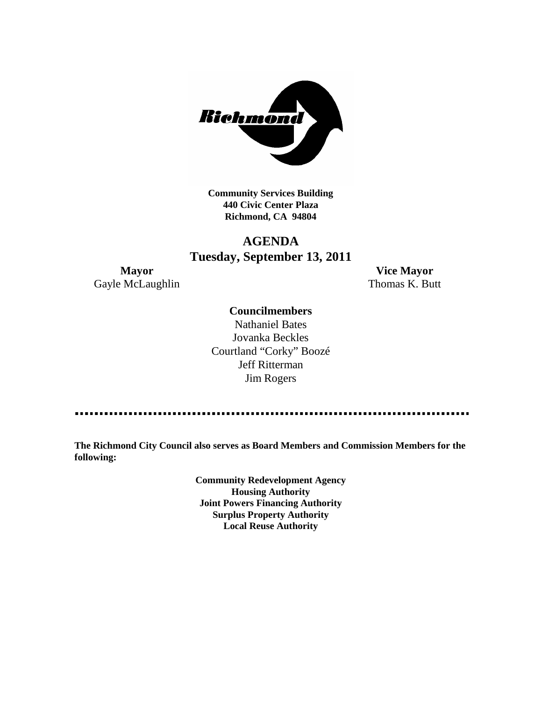

**Community Services Building 440 Civic Center Plaza Richmond, CA 94804**

# **AGENDA Tuesday, September 13, 2011**

Gayle McLaughlin Thomas K. Butt

**Mayor Vice Mayor**

### **Councilmembers**

Nathaniel Bates Jovanka Beckles Courtland "Corky" Boozé Jeff Ritterman Jim Rogers

**The Richmond City Council also serves as Board Members and Commission Members for the following:**

> **Community Redevelopment Agency Housing Authority Joint Powers Financing Authority Surplus Property Authority Local Reuse Authority**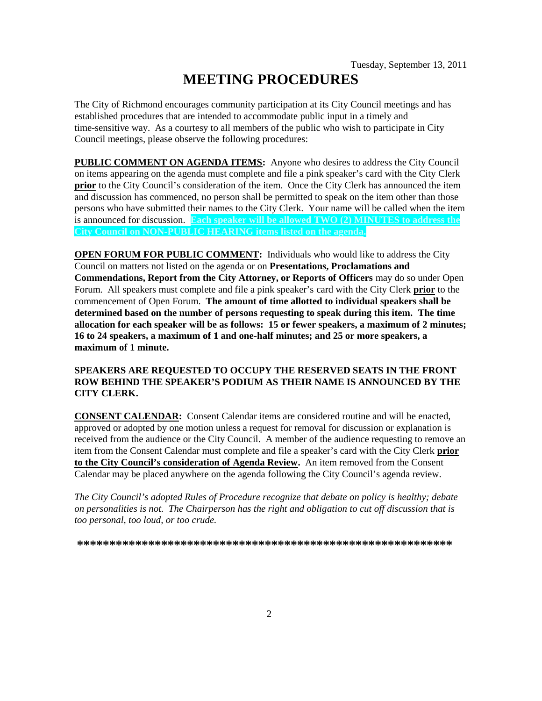# **MEETING PROCEDURES**

The City of Richmond encourages community participation at its City Council meetings and has established procedures that are intended to accommodate public input in a timely and time-sensitive way. As a courtesy to all members of the public who wish to participate in City Council meetings, please observe the following procedures:

**PUBLIC COMMENT ON AGENDA ITEMS:** Anyone who desires to address the City Council on items appearing on the agenda must complete and file a pink speaker's card with the City Clerk **prior** to the City Council's consideration of the item. Once the City Clerk has announced the item and discussion has commenced, no person shall be permitted to speak on the item other than those persons who have submitted their names to the City Clerk. Your name will be called when the item is announced for discussion. **Each speaker will be allowed TWO (2) MINUTES to address the City Council on NON-PUBLIC HEARING items listed on the agenda.**

**OPEN FORUM FOR PUBLIC COMMENT:** Individuals who would like to address the City Council on matters not listed on the agenda or on **Presentations, Proclamations and Commendations, Report from the City Attorney, or Reports of Officers** may do so under Open Forum. All speakers must complete and file a pink speaker's card with the City Clerk **prior** to the commencement of Open Forum. **The amount of time allotted to individual speakers shall be determined based on the number of persons requesting to speak during this item. The time allocation for each speaker will be as follows: 15 or fewer speakers, a maximum of 2 minutes; 16 to 24 speakers, a maximum of 1 and one-half minutes; and 25 or more speakers, a maximum of 1 minute.**

### **SPEAKERS ARE REQUESTED TO OCCUPY THE RESERVED SEATS IN THE FRONT ROW BEHIND THE SPEAKER'S PODIUM AS THEIR NAME IS ANNOUNCED BY THE CITY CLERK.**

**CONSENT CALENDAR:** Consent Calendar items are considered routine and will be enacted, approved or adopted by one motion unless a request for removal for discussion or explanation is received from the audience or the City Council. A member of the audience requesting to remove an item from the Consent Calendar must complete and file a speaker's card with the City Clerk **prior to the City Council's consideration of Agenda Review.** An item removed from the Consent Calendar may be placed anywhere on the agenda following the City Council's agenda review.

*The City Council's adopted Rules of Procedure recognize that debate on policy is healthy; debate on personalities is not. The Chairperson has the right and obligation to cut off discussion that is too personal, too loud, or too crude.*

**\*\*\*\*\*\*\*\*\*\*\*\*\*\*\*\*\*\*\*\*\*\*\*\*\*\*\*\*\*\*\*\*\*\*\*\*\*\*\*\*\*\*\*\*\*\*\*\*\*\*\*\*\*\*\*\*\*\***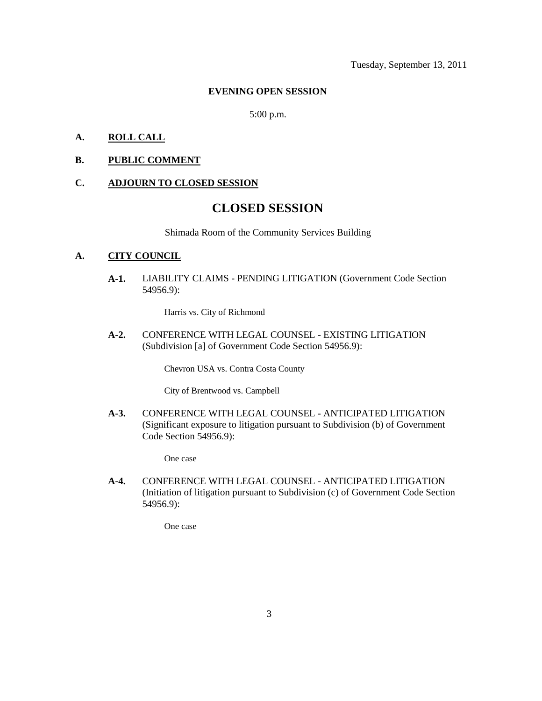#### **EVENING OPEN SESSION**

5:00 p.m.

### **A. ROLL CALL**

### **B. PUBLIC COMMENT**

#### **C. ADJOURN TO CLOSED SESSION**

## **CLOSED SESSION**

Shimada Room of the Community Services Building

### **A. CITY COUNCIL**

**A-1.** LIABILITY CLAIMS - PENDING LITIGATION (Government Code Section 54956.9):

Harris vs. City of Richmond

**A-2.** CONFERENCE WITH LEGAL COUNSEL - EXISTING LITIGATION (Subdivision [a] of Government Code Section 54956.9):

Chevron USA vs. Contra Costa County

City of Brentwood vs. Campbell

**A-3.** CONFERENCE WITH LEGAL COUNSEL - ANTICIPATED LITIGATION (Significant exposure to litigation pursuant to Subdivision (b) of Government Code Section 54956.9):

One case

**A-4.** CONFERENCE WITH LEGAL COUNSEL - ANTICIPATED LITIGATION (Initiation of litigation pursuant to Subdivision (c) of Government Code Section 54956.9):

One case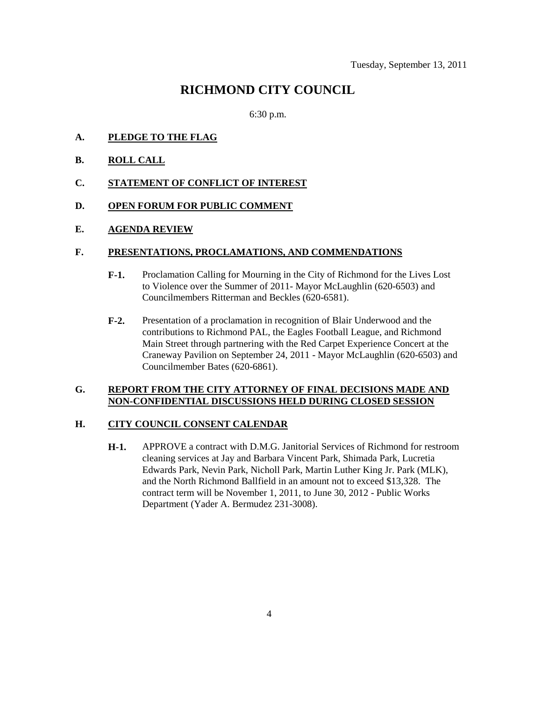# **RICHMOND CITY COUNCIL**

6:30 p.m.

- **A. PLEDGE TO THE FLAG**
- **B. ROLL CALL**
- **C. STATEMENT OF CONFLICT OF INTEREST**
- **D. OPEN FORUM FOR PUBLIC COMMENT**

### **E. AGENDA REVIEW**

### **F. PRESENTATIONS, PROCLAMATIONS, AND COMMENDATIONS**

- **F-1.** Proclamation Calling for Mourning in the City of Richmond for the Lives Lost to Violence over the Summer of 2011- Mayor McLaughlin (620-6503) and Councilmembers Ritterman and Beckles (620-6581).
- **F-2.** Presentation of a proclamation in recognition of Blair Underwood and the contributions to Richmond PAL, the Eagles Football League, and Richmond Main Street through partnering with the Red Carpet Experience Concert at the Craneway Pavilion on September 24, 2011 - Mayor McLaughlin (620-6503) and Councilmember Bates (620-6861).

### **G. REPORT FROM THE CITY ATTORNEY OF FINAL DECISIONS MADE AND NON-CONFIDENTIAL DISCUSSIONS HELD DURING CLOSED SESSION**

### **H. CITY COUNCIL CONSENT CALENDAR**

**H-1.** APPROVE a contract with D.M.G. Janitorial Services of Richmond for restroom cleaning services at Jay and Barbara Vincent Park, Shimada Park, Lucretia Edwards Park, Nevin Park, Nicholl Park, Martin Luther King Jr. Park (MLK), and the North Richmond Ballfield in an amount not to exceed \$13,328. The contract term will be November 1, 2011, to June 30, 2012 - Public Works Department (Yader A. Bermudez 231-3008).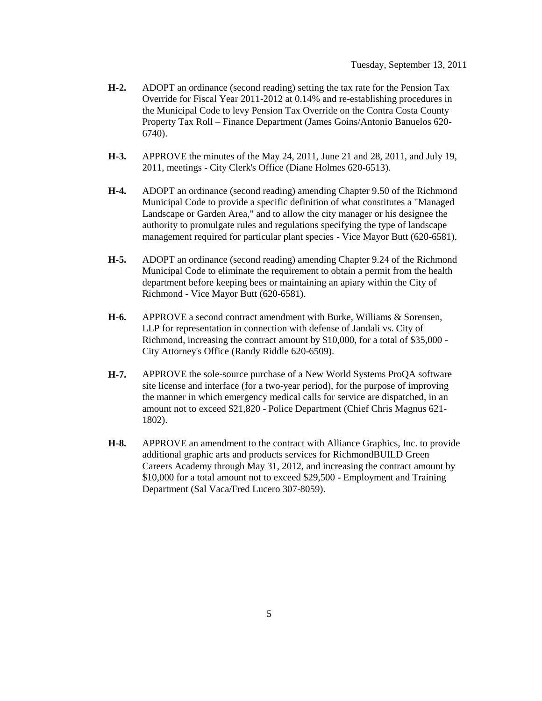- **H-2.** ADOPT an ordinance (second reading) setting the tax rate for the Pension Tax Override for Fiscal Year 2011-2012 at 0.14% and re-establishing procedures in the Municipal Code to levy Pension Tax Override on the Contra Costa County Property Tax Roll – Finance Department (James Goins/Antonio Banuelos 620- 6740).
- **H-3.** APPROVE the minutes of the May 24, 2011, June 21 and 28, 2011, and July 19, 2011, meetings - City Clerk's Office (Diane Holmes 620-6513).
- **H-4.** ADOPT an ordinance (second reading) amending Chapter 9.50 of the Richmond Municipal Code to provide a specific definition of what constitutes a "Managed Landscape or Garden Area," and to allow the city manager or his designee the authority to promulgate rules and regulations specifying the type of landscape management required for particular plant species - Vice Mayor Butt (620-6581).
- **H-5.** ADOPT an ordinance (second reading) amending Chapter 9.24 of the Richmond Municipal Code to eliminate the requirement to obtain a permit from the health department before keeping bees or maintaining an apiary within the City of Richmond - Vice Mayor Butt (620-6581).
- **H-6.** APPROVE a second contract amendment with Burke, Williams & Sorensen, LLP for representation in connection with defense of Jandali vs. City of Richmond, increasing the contract amount by \$10,000, for a total of \$35,000 - City Attorney's Office (Randy Riddle 620-6509).
- **H-7.** APPROVE the sole-source purchase of a New World Systems ProQA software site license and interface (for a two-year period), for the purpose of improving the manner in which emergency medical calls for service are dispatched, in an amount not to exceed \$21,820 - Police Department (Chief Chris Magnus 621- 1802).
- **H-8.** APPROVE an amendment to the contract with Alliance Graphics, Inc. to provide additional graphic arts and products services for RichmondBUILD Green Careers Academy through May 31, 2012, and increasing the contract amount by \$10,000 for a total amount not to exceed \$29,500 - Employment and Training Department (Sal Vaca/Fred Lucero 307-8059).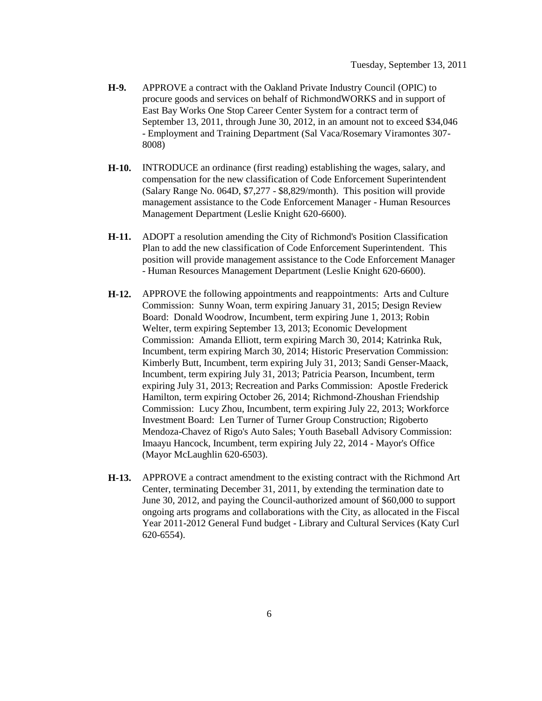- **H-9.** APPROVE a contract with the Oakland Private Industry Council (OPIC) to procure goods and services on behalf of RichmondWORKS and in support of East Bay Works One Stop Career Center System for a contract term of September 13, 2011, through June 30, 2012, in an amount not to exceed \$34,046 - Employment and Training Department (Sal Vaca/Rosemary Viramontes 307- 8008)
- **H-10.** INTRODUCE an ordinance (first reading) establishing the wages, salary, and compensation for the new classification of Code Enforcement Superintendent (Salary Range No. 064D, \$7,277 - \$8,829/month). This position will provide management assistance to the Code Enforcement Manager - Human Resources Management Department (Leslie Knight 620-6600).
- **H-11.** ADOPT a resolution amending the City of Richmond's Position Classification Plan to add the new classification of Code Enforcement Superintendent. This position will provide management assistance to the Code Enforcement Manager - Human Resources Management Department (Leslie Knight 620-6600).
- **H-12.** APPROVE the following appointments and reappointments: Arts and Culture Commission: Sunny Woan, term expiring January 31, 2015; Design Review Board: Donald Woodrow, Incumbent, term expiring June 1, 2013; Robin Welter, term expiring September 13, 2013; Economic Development Commission: Amanda Elliott, term expiring March 30, 2014; Katrinka Ruk, Incumbent, term expiring March 30, 2014; Historic Preservation Commission: Kimberly Butt, Incumbent, term expiring July 31, 2013; Sandi Genser-Maack, Incumbent, term expiring July 31, 2013; Patricia Pearson, Incumbent, term expiring July 31, 2013; Recreation and Parks Commission: Apostle Frederick Hamilton, term expiring October 26, 2014; Richmond-Zhoushan Friendship Commission: Lucy Zhou, Incumbent, term expiring July 22, 2013; Workforce Investment Board: Len Turner of Turner Group Construction; Rigoberto Mendoza-Chavez of Rigo's Auto Sales; Youth Baseball Advisory Commission: Imaayu Hancock, Incumbent, term expiring July 22, 2014 - Mayor's Office (Mayor McLaughlin 620-6503).
- **H-13.** APPROVE a contract amendment to the existing contract with the Richmond Art Center, terminating December 31, 2011, by extending the termination date to June 30, 2012, and paying the Council-authorized amount of \$60,000 to support ongoing arts programs and collaborations with the City, as allocated in the Fiscal Year 2011-2012 General Fund budget - Library and Cultural Services (Katy Curl 620-6554).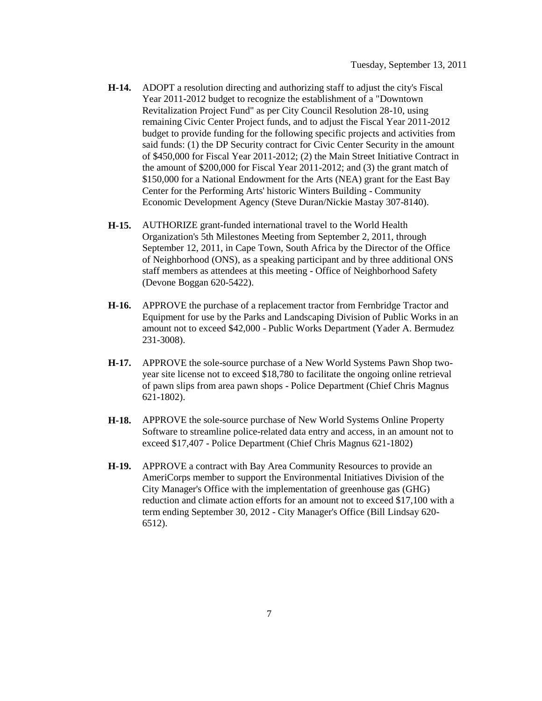- **H-14.** ADOPT a resolution directing and authorizing staff to adjust the city's Fiscal Year 2011-2012 budget to recognize the establishment of a "Downtown Revitalization Project Fund" as per City Council Resolution 28-10, using remaining Civic Center Project funds, and to adjust the Fiscal Year 2011-2012 budget to provide funding for the following specific projects and activities from said funds: (1) the DP Security contract for Civic Center Security in the amount of \$450,000 for Fiscal Year 2011-2012; (2) the Main Street Initiative Contract in the amount of \$200,000 for Fiscal Year 2011-2012; and (3) the grant match of \$150,000 for a National Endowment for the Arts (NEA) grant for the East Bay Center for the Performing Arts' historic Winters Building - Community Economic Development Agency (Steve Duran/Nickie Mastay 307-8140).
- **H-15.** AUTHORIZE grant-funded international travel to the World Health Organization's 5th Milestones Meeting from September 2, 2011, through September 12, 2011, in Cape Town, South Africa by the Director of the Office of Neighborhood (ONS), as a speaking participant and by three additional ONS staff members as attendees at this meeting - Office of Neighborhood Safety (Devone Boggan 620-5422).
- **H-16.** APPROVE the purchase of a replacement tractor from Fernbridge Tractor and Equipment for use by the Parks and Landscaping Division of Public Works in an amount not to exceed \$42,000 - Public Works Department (Yader A. Bermudez 231-3008).
- **H-17.** APPROVE the sole-source purchase of a New World Systems Pawn Shop twoyear site license not to exceed \$18,780 to facilitate the ongoing online retrieval of pawn slips from area pawn shops - Police Department (Chief Chris Magnus 621-1802).
- **H-18.** APPROVE the sole-source purchase of New World Systems Online Property Software to streamline police-related data entry and access, in an amount not to exceed \$17,407 - Police Department (Chief Chris Magnus 621-1802)
- **H-19.** APPROVE a contract with Bay Area Community Resources to provide an AmeriCorps member to support the Environmental Initiatives Division of the City Manager's Office with the implementation of greenhouse gas (GHG) reduction and climate action efforts for an amount not to exceed \$17,100 with a term ending September 30, 2012 - City Manager's Office (Bill Lindsay 620- 6512).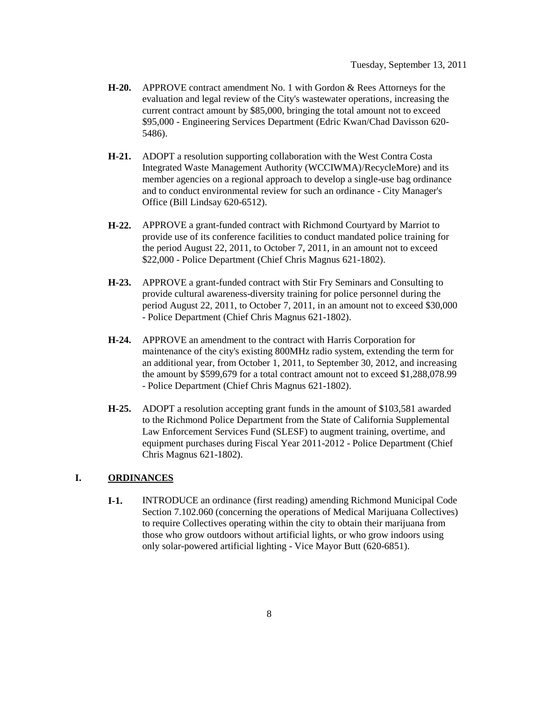- **H-20.** APPROVE contract amendment No. 1 with Gordon & Rees Attorneys for the evaluation and legal review of the City's wastewater operations, increasing the current contract amount by \$85,000, bringing the total amount not to exceed \$95,000 - Engineering Services Department (Edric Kwan/Chad Davisson 620- 5486).
- **H-21.** ADOPT a resolution supporting collaboration with the West Contra Costa Integrated Waste Management Authority (WCCIWMA)/RecycleMore) and its member agencies on a regional approach to develop a single-use bag ordinance and to conduct environmental review for such an ordinance - City Manager's Office (Bill Lindsay 620-6512).
- **H-22.** APPROVE a grant-funded contract with Richmond Courtyard by Marriot to provide use of its conference facilities to conduct mandated police training for the period August 22, 2011, to October 7, 2011, in an amount not to exceed \$22,000 - Police Department (Chief Chris Magnus 621-1802).
- **H-23.** APPROVE a grant-funded contract with Stir Fry Seminars and Consulting to provide cultural awareness-diversity training for police personnel during the period August 22, 2011, to October 7, 2011, in an amount not to exceed \$30,000 - Police Department (Chief Chris Magnus 621-1802).
- **H-24.** APPROVE an amendment to the contract with Harris Corporation for maintenance of the city's existing 800MHz radio system, extending the term for an additional year, from October 1, 2011, to September 30, 2012, and increasing the amount by \$599,679 for a total contract amount not to exceed \$1,288,078.99 - Police Department (Chief Chris Magnus 621-1802).
- **H-25.** ADOPT a resolution accepting grant funds in the amount of \$103,581 awarded to the Richmond Police Department from the State of California Supplemental Law Enforcement Services Fund (SLESF) to augment training, overtime, and equipment purchases during Fiscal Year 2011-2012 - Police Department (Chief Chris Magnus 621-1802).

### **I. ORDINANCES**

**I-1.** INTRODUCE an ordinance (first reading) amending Richmond Municipal Code Section 7.102.060 (concerning the operations of Medical Marijuana Collectives) to require Collectives operating within the city to obtain their marijuana from those who grow outdoors without artificial lights, or who grow indoors using only solar-powered artificial lighting - Vice Mayor Butt (620-6851).